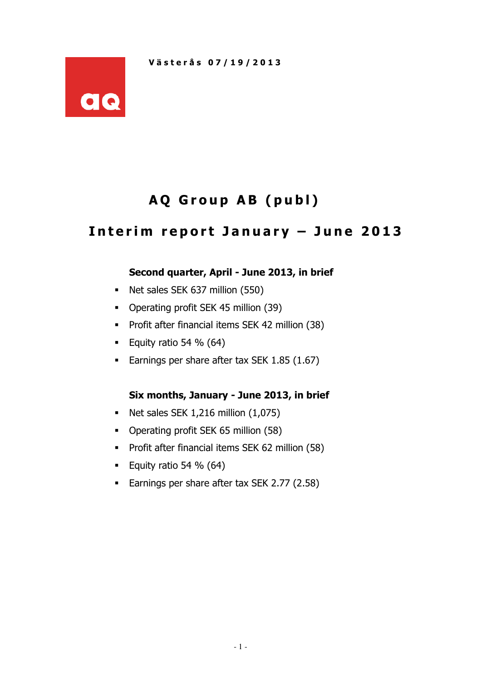

# AQ Group AB (publ)

## Interim report January - June 2013

## Second quarter, April - June 2013, in brief

- Net sales SEK 637 million (550)
- Operating profit SEK 45 million (39)
- **Profit after financial items SEK 42 million (38)**
- Equity ratio 54 %  $(64)$
- **Earnings per share after tax SEK 1.85 (1.67)**

## Six months, January - June 2013, in brief

- $\blacksquare$  Net sales SEK 1,216 million  $(1,075)$
- Operating profit SEK 65 million (58)
- **Profit after financial items SEK 62 million (58)**
- Equity ratio 54 %  $(64)$
- **Earnings per share after tax SEK 2.77 (2.58)**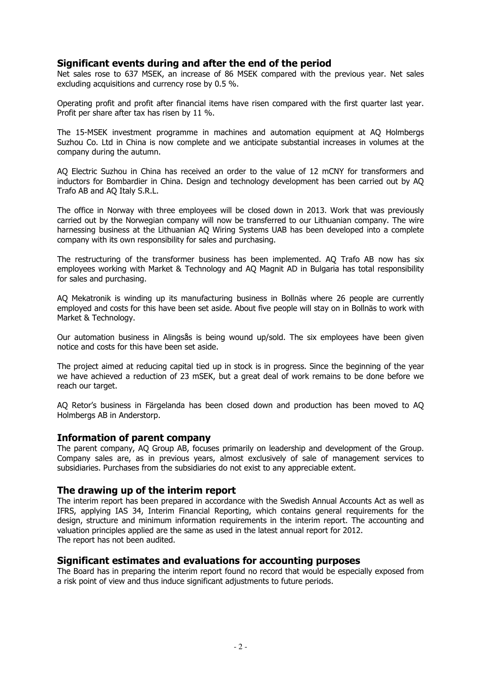#### Significant events during and after the end of the period

Net sales rose to 637 MSEK, an increase of 86 MSEK compared with the previous year. Net sales excluding acquisitions and currency rose by 0.5 %.

Operating profit and profit after financial items have risen compared with the first quarter last year. Profit per share after tax has risen by 11 %.

The 15-MSEK investment programme in machines and automation equipment at AQ Holmbergs Suzhou Co. Ltd in China is now complete and we anticipate substantial increases in volumes at the company during the autumn.

AQ Electric Suzhou in China has received an order to the value of 12 mCNY for transformers and inductors for Bombardier in China. Design and technology development has been carried out by AQ Trafo AB and AQ Italy S.R.L.

The office in Norway with three employees will be closed down in 2013. Work that was previously carried out by the Norwegian company will now be transferred to our Lithuanian company. The wire harnessing business at the Lithuanian AQ Wiring Systems UAB has been developed into a complete company with its own responsibility for sales and purchasing.

The restructuring of the transformer business has been implemented. AQ Trafo AB now has six employees working with Market & Technology and AQ Magnit AD in Bulgaria has total responsibility for sales and purchasing.

AQ Mekatronik is winding up its manufacturing business in Bollnäs where 26 people are currently employed and costs for this have been set aside. About five people will stay on in Bollnäs to work with Market & Technology.

Our automation business in Alingsås is being wound up/sold. The six employees have been given notice and costs for this have been set aside.

The project aimed at reducing capital tied up in stock is in progress. Since the beginning of the year we have achieved a reduction of 23 mSEK, but a great deal of work remains to be done before we reach our target.

AQ Retor's business in Färgelanda has been closed down and production has been moved to AQ Holmbergs AB in Anderstorp.

#### Information of parent company

The parent company, AQ Group AB, focuses primarily on leadership and development of the Group. Company sales are, as in previous years, almost exclusively of sale of management services to subsidiaries. Purchases from the subsidiaries do not exist to any appreciable extent.

#### The drawing up of the interim report

The interim report has been prepared in accordance with the Swedish Annual Accounts Act as well as IFRS, applying IAS 34, Interim Financial Reporting, which contains general requirements for the design, structure and minimum information requirements in the interim report. The accounting and valuation principles applied are the same as used in the latest annual report for 2012. The report has not been audited.

#### Significant estimates and evaluations for accounting purposes

The Board has in preparing the interim report found no record that would be especially exposed from a risk point of view and thus induce significant adjustments to future periods.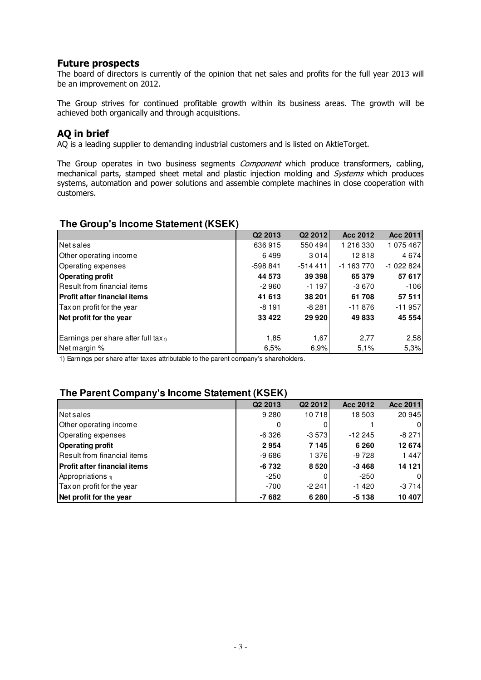#### Future prospects

The board of directors is currently of the opinion that net sales and profits for the full year 2013 will be an improvement on 2012.

The Group strives for continued profitable growth within its business areas. The growth will be achieved both organically and through acquisitions.

## AQ in brief

AQ is a leading supplier to demanding industrial customers and is listed on AktieTorget.

The Group operates in two business segments *Component* which produce transformers, cabling, mechanical parts, stamped sheet metal and plastic injection molding and *Systems* which produces systems, automation and power solutions and assemble complete machines in close cooperation with customers.

#### **The Group's Income Statement (KSEK)**

|                                                 | Q <sub>2</sub> 2013 | Q <sub>2</sub> 2012 | Acc 2012   | Acc 2011   |
|-------------------------------------------------|---------------------|---------------------|------------|------------|
| Net sales                                       | 636915              | 550494              | 1 216 330  | 1 075 467  |
| Other operating income                          | 6499                | 3014                | 12818      | 4674       |
| Operating expenses                              | $-598841$           | $-514411$           | $-1163770$ | -1 022 824 |
| <b>Operating profit</b>                         | 44 573              | 39 398              | 65 379     | 57 617     |
| <b>IResult from financial items</b>             | $-2960$             | $-1197$             | -3 670     | $-106$     |
| <b>IProfit after financial items</b>            | 41 613              | 38 201              | 61708      | 57 511     |
| Tax on profit for the year                      | $-8191$             | $-8281$             | $-11876$   | $-11957$   |
| Net profit for the year                         | 33 4 22             | 29 9 20             | 49833      | 45 554     |
|                                                 |                     |                     |            |            |
| Earnings per share after full tax <sub>1)</sub> | 1,85                | 1,67                | 2,77       | 2,58       |
| Net margin %                                    | 6,5%                | 6,9%                | 5.1%       | 5,3%       |

1) Earnings per share after taxes attributable to the parent company's shareholders.

## **The Parent Company's Income Statement (KSEK)**

|                                     | Q <sub>2</sub> 2013 | Q <sub>2</sub> 2012 | Acc 2012 | Acc 2011 |
|-------------------------------------|---------------------|---------------------|----------|----------|
| Net sales                           | 9 2 8 0             | 10718               | 18503    | 20 945   |
| Other operating income              | 0                   |                     |          | 0        |
| Operating expenses                  | -6326               | $-3573$             | $-12245$ | $-8271$  |
| <b>Operating profit</b>             | 2954                | 7 1 4 5             | 6 2 6 0  | 12 674   |
| Result from financial items         | $-9686$             | 1376                | $-9728$  | 1447     |
| <b>Profit after financial items</b> | -6 732              | 8520                | $-3468$  | 14 121   |
| Appropriations $\eta$               | $-250$              |                     | -250     | 0        |
| Tax on profit for the year          | $-700$              | $-2241$             | $-1420$  | $-3714$  |
| Net profit for the year             | $-7682$             | 6 2 8 0             | $-5138$  | 10 407   |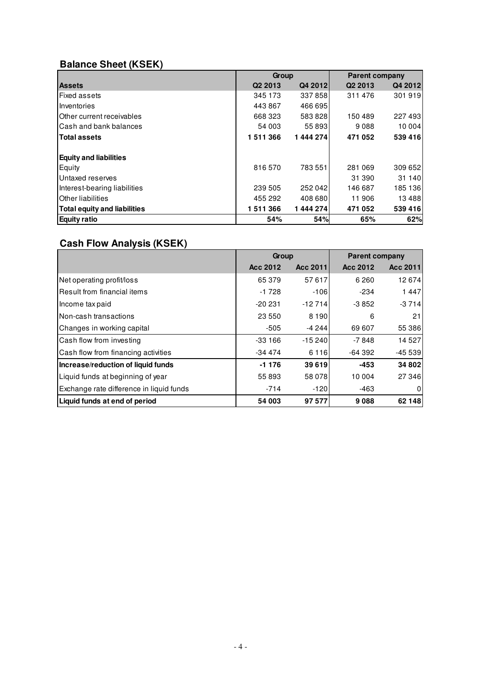## **Balance Sheet (KSEK)**

|                                     | Group               |          |                     | <b>Parent company</b> |  |  |  |
|-------------------------------------|---------------------|----------|---------------------|-----------------------|--|--|--|
| <b>Assets</b>                       | Q <sub>2</sub> 2013 | Q4 2012  | Q <sub>2</sub> 2013 | Q4 2012               |  |  |  |
| Fixed assets                        | 345 173             | 337858   | 311476              | 301 919               |  |  |  |
| Inventories                         | 443 867             | 466 695  |                     |                       |  |  |  |
| Other current receivables           | 668 323             | 583828   | 150489              | 227 493               |  |  |  |
| Cash and bank balances              | 54 003              | 55 893   | 9088                | 10 004                |  |  |  |
| <b>Total assets</b>                 | 1511366             | 1444274  | 471 052             | 539 416               |  |  |  |
| <b>Equity and liabilities</b>       |                     |          |                     |                       |  |  |  |
| Equity                              | 816 570             | 783551   | 281 069             | 309 652               |  |  |  |
| Untaxed reserves                    |                     |          | 31 390              | 31 140                |  |  |  |
| Interest-bearing liabilities        | 239 505             | 252042   | 146 687             | 185 136               |  |  |  |
| Other liabilities                   | 455 292             | 408 680  | 11906               | 13488                 |  |  |  |
| <b>Total equity and liabilities</b> | 1511366             | 1444 274 | 471 052             | 539 416               |  |  |  |
| <b>Equity ratio</b>                 | 54%                 | 54%      | 65%                 | 62%                   |  |  |  |

## **Cash Flow Analysis (KSEK)**

|                                          | Group           |          | <b>Parent company</b> |          |  |
|------------------------------------------|-----------------|----------|-----------------------|----------|--|
|                                          | <b>Acc 2012</b> | Acc 2011 | Acc 2012              | Acc 2011 |  |
| Net operating profit/loss                | 65 379          | 57617    | 6 2 6 0               | 12 674   |  |
| Result from financial items              | $-1728$         | $-106$   | $-234$                | 1447     |  |
| Income tax paid                          | $-20231$        | $-12714$ | $-3852$               | $-3714$  |  |
| lNon-cash transactions                   | 23 550          | 8 1 9 0  | 6                     | 21       |  |
| Changes in working capital               | $-505$          | -4 244   | 69 607                | 55 386   |  |
| Cash flow from investing                 | $-33166$        | $-15240$ | $-7848$               | 14 5 27  |  |
| Cash flow from financing activities      | -34 474         | 6 1 1 6  | $-64392$              | $-45539$ |  |
| Increase/reduction of liquid funds       | $-1176$         | 39619    | -453                  | 34 802   |  |
| Liquid funds at beginning of year        | 55 893          | 58 078   | 10 004                | 27 346   |  |
| Exchange rate difference in liquid funds | $-714$          | $-120$   | $-463$                | 0        |  |
| Liquid funds at end of period            | 54 003          | 97 577   | 9088                  | 62 148   |  |